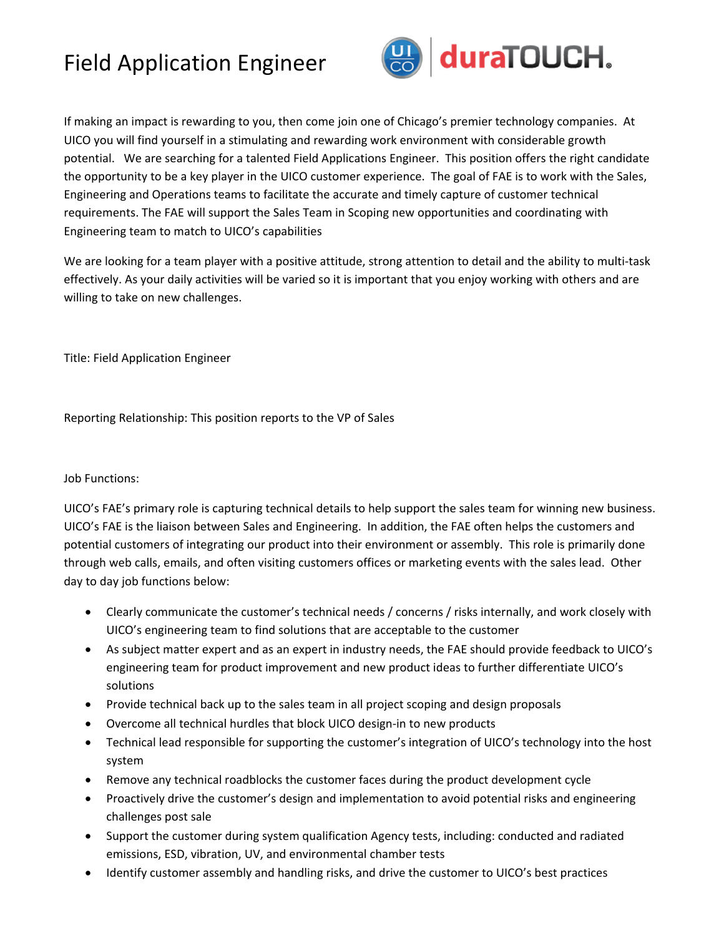## Field Application Engineer



If making an impact is rewarding to you, then come join one of Chicago's premier technology companies. At UICO you will find yourself in a stimulating and rewarding work environment with considerable growth potential. We are searching for a talented Field Applications Engineer. This position offers the right candidate the opportunity to be a key player in the UICO customer experience. The goal of FAE is to work with the Sales, Engineering and Operations teams to facilitate the accurate and timely capture of customer technical requirements. The FAE will support the Sales Team in Scoping new opportunities and coordinating with Engineering team to match to UICO's capabilities

We are looking for a team player with a positive attitude, strong attention to detail and the ability to multi-task effectively. As your daily activities will be varied so it is important that you enjoy working with others and are willing to take on new challenges.

Title: Field Application Engineer

Reporting Relationship: This position reports to the VP of Sales

## Job Functions:

UICO's FAE's primary role is capturing technical details to help support the sales team for winning new business. UICO's FAE is the liaison between Sales and Engineering. In addition, the FAE often helps the customers and potential customers of integrating our product into their environment or assembly. This role is primarily done through web calls, emails, and often visiting customers offices or marketing events with the sales lead. Other day to day job functions below:

- Clearly communicate the customer's technical needs / concerns / risks internally, and work closely with UICO's engineering team to find solutions that are acceptable to the customer
- As subject matter expert and as an expert in industry needs, the FAE should provide feedback to UICO's engineering team for product improvement and new product ideas to further differentiate UICO's solutions
- Provide technical back up to the sales team in all project scoping and design proposals
- Overcome all technical hurdles that block UICO design‐in to new products
- Technical lead responsible for supporting the customer's integration of UICO's technology into the host system
- Remove any technical roadblocks the customer faces during the product development cycle
- Proactively drive the customer's design and implementation to avoid potential risks and engineering challenges post sale
- Support the customer during system qualification Agency tests, including: conducted and radiated emissions, ESD, vibration, UV, and environmental chamber tests
- Identify customer assembly and handling risks, and drive the customer to UICO's best practices